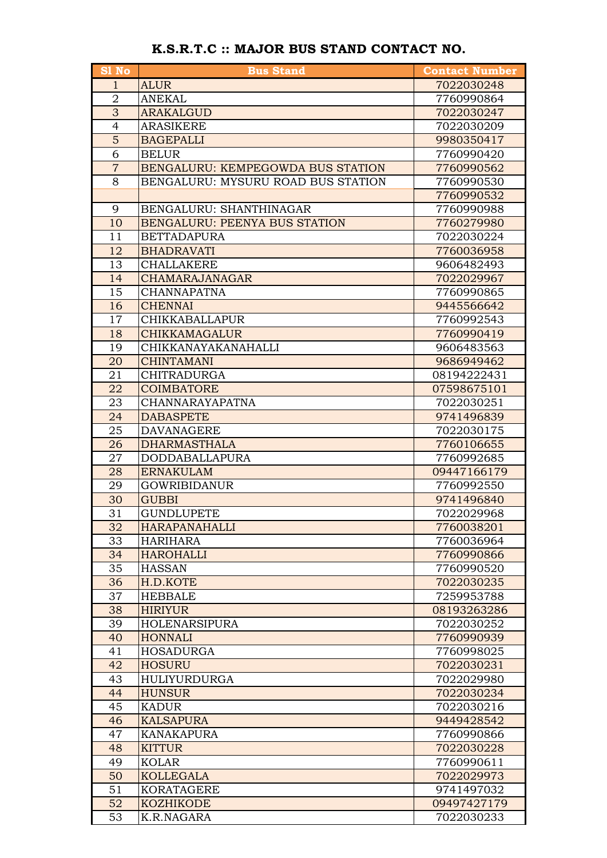| <b>S1 No</b>   | <b>Bus Stand</b>                   | <b>Contact Number</b> |
|----------------|------------------------------------|-----------------------|
| $\mathbf{1}$   | <b>ALUR</b>                        | 7022030248            |
| 2              | <b>ANEKAL</b>                      | 7760990864            |
| 3              | <b>ARAKALGUD</b>                   | 7022030247            |
| 4              | <b>ARASIKERE</b>                   | 7022030209            |
| $\overline{5}$ | <b>BAGEPALLI</b>                   | 9980350417            |
| 6              | <b>BELUR</b>                       | 7760990420            |
| $\overline{7}$ | BENGALURU: KEMPEGOWDA BUS STATION  | 7760990562            |
| 8              | BENGALURU: MYSURU ROAD BUS STATION | 7760990530            |
|                |                                    | 7760990532            |
| 9              | BENGALURU: SHANTHINAGAR            | 7760990988            |
| 10             | BENGALURU: PEENYA BUS STATION      | 7760279980            |
| 11             | <b>BETTADAPURA</b>                 | 7022030224            |
| 12             | <b>BHADRAVATI</b>                  | 7760036958            |
| 13             | <b>CHALLAKERE</b>                  | 9606482493            |
| 14             | <b>CHAMARAJANAGAR</b>              | 7022029967            |
| 15             | <b>CHANNAPATNA</b>                 | 7760990865            |
| 16             | <b>CHENNAI</b>                     | 9445566642            |
| 17             | <b>CHIKKABALLAPUR</b>              | 7760992543            |
| 18             | <b>CHIKKAMAGALUR</b>               | 7760990419            |
| 19             | CHIKKANAYAKANAHALLI                | 9606483563            |
| 20             | <b>CHINTAMANI</b>                  | 9686949462            |
| 21             | <b>CHITRADURGA</b>                 | 08194222431           |
| 22             | <b>COIMBATORE</b>                  | 07598675101           |
| 23             | CHANNARAYAPATNA                    | 7022030251            |
| 24             | <b>DABASPETE</b>                   | 9741496839            |
| 25             | <b>DAVANAGERE</b>                  | 7022030175            |
| 26             | <b>DHARMASTHALA</b>                | 7760106655            |
| 27             | <b>DODDABALLAPURA</b>              | 7760992685            |
| 28             | <b>ERNAKULAM</b>                   | 09447166179           |
| 29             | <b>GOWRIBIDANUR</b>                | 7760992550            |
| 30             | <b>GUBBI</b>                       | 9741496840            |
| 31             | <b>GUNDLUPETE</b>                  | 7022029968            |
| 32             | HARAPANAHALLI                      | 7760038201            |
| 33             | HARIHARA                           | 7760036964            |
| 34             | <b>HAROHALLI</b>                   | 7760990866            |
| 35             | <b>HASSAN</b>                      | 7760990520            |
| 36             | H.D.KOTE                           | 7022030235            |
| 37             | HEBBALE                            | 7259953788            |
| 38             | <b>HIRIYUR</b>                     | 08193263286           |
| 39             | <b>HOLENARSIPURA</b>               | 7022030252            |
| 40             | <b>HONNALI</b>                     | 7760990939            |
| 41             | <b>HOSADURGA</b>                   | 7760998025            |
| 42             | <b>HOSURU</b>                      | 7022030231            |
| 43             | HULIYURDURGA                       | 7022029980            |
| 44             | <b>HUNSUR</b>                      | 7022030234            |
| 45             | KADUR                              | 7022030216            |
| 46             | <b>KALSAPURA</b>                   | 9449428542            |
| 47             | KANAKAPURA                         | 7760990866            |
| 48             | <b>KITTUR</b>                      | 7022030228            |
| 49             | <b>KOLAR</b>                       | 7760990611            |
| 50             | <b>KOLLEGALA</b>                   | 7022029973            |
| 51             | <b>KORATAGERE</b>                  | 9741497032            |
| 52             | <b>KOZHIKODE</b>                   | 09497427179           |
| 53             | K.R.NAGARA                         | 7022030233            |

## K.S.R.T.C :: MAJOR BUS STAND CONTACT NO.